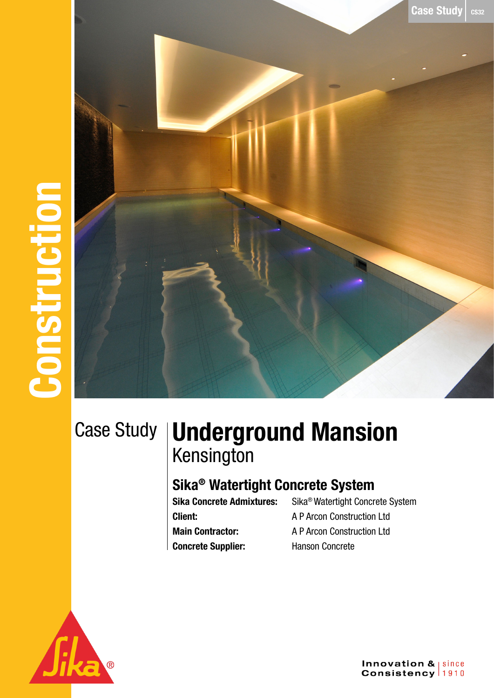**Case Study**  $\cos^2$ 

Case Study

## Underground Mansion Kensington

## Sika® Watertight Concrete System

Client: A P Arcon Construction Ltd Main Contractor: A P Arcon Construction Ltd Concrete Supplier: Hanson Concrete

Sika Concrete Admixtures: Sika® Watertight Concrete System